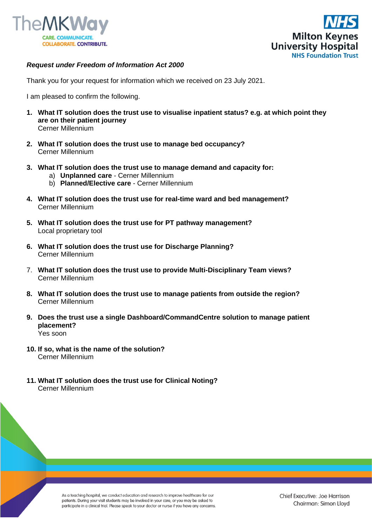



## *Request under Freedom of Information Act 2000*

Thank you for your request for information which we received on 23 July 2021.

I am pleased to confirm the following.

- **1. What IT solution does the trust use to visualise inpatient status? e.g. at which point they are on their patient journey** Cerner Millennium
- **2. What IT solution does the trust use to manage bed occupancy?**  Cerner Millennium
- **3. What IT solution does the trust use to manage demand and capacity for:** 
	- a) **Unplanned care** Cerner Millennium
	- b) **Planned/Elective care** Cerner Millennium
- **4. What IT solution does the trust use for real-time ward and bed management?**  Cerner Millennium
- **5. What IT solution does the trust use for PT pathway management?**  Local proprietary tool
- **6. What IT solution does the trust use for Discharge Planning?** Cerner Millennium
- 7. **What IT solution does the trust use to provide Multi-Disciplinary Team views?**  Cerner Millennium
- **8. What IT solution does the trust use to manage patients from outside the region?**  Cerner Millennium
- **9. Does the trust use a single Dashboard/CommandCentre solution to manage patient placement?** Yes soon
- **10. If so, what is the name of the solution?**  Cerner Millennium
- **11. What IT solution does the trust use for Clinical Noting?**  Cerner Millennium

As a teaching hospital, we conduct education and research to improve healthcare for our patients. During your visit students may be involved in your care, or you may be asked to participate in a clinical trial. Please speak to your doctor or nurse if you have any concerns.